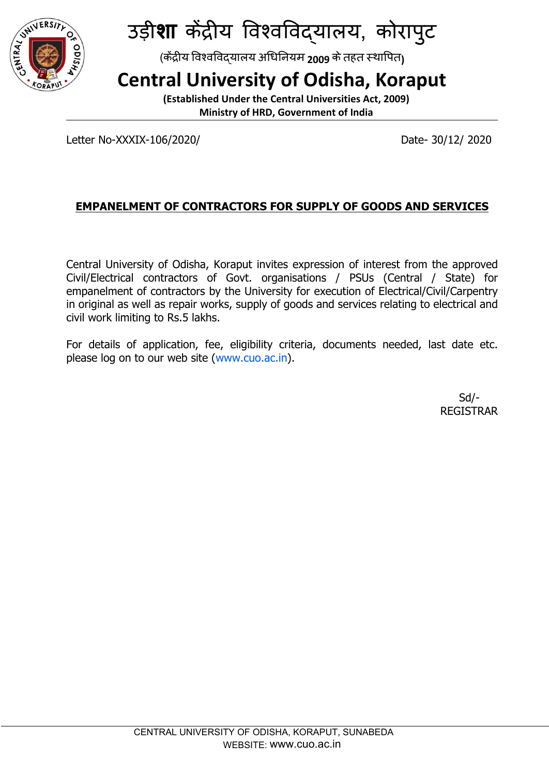

उड़ीशा केंद्रीय विश्वविद्यालय, कोरापुट

(केंद्रीय विश्वविद्**यालय अधिनियम 2009 के तहत स्थापित**)

## **Central University of Odisha, Koraput**

**(Established Under the Central Universities Act, 2009) Ministry of HRD, Government of India**

Letter No-XXXIX-106/2020/ Date- 30/12/ 2020

## **EMPANELMENT OF CONTRACTORS FOR SUPPLY OF GOODS AND SERVICES**

Central University of Odisha, Koraput invites expression of interest from the approved Civil/Electrical contractors of Govt. organisations / PSUs (Central / State) for empanelment of contractors by the University for execution of Electrical/Civil/Carpentry in original as well as repair works, supply of goods and services relating to electrical and civil work limiting to Rs.5 lakhs.

For details of application, fee, eligibility criteria, documents needed, last date etc. please log on to our web site (www.cuo.ac.in).

> Sd/- REGISTRAR